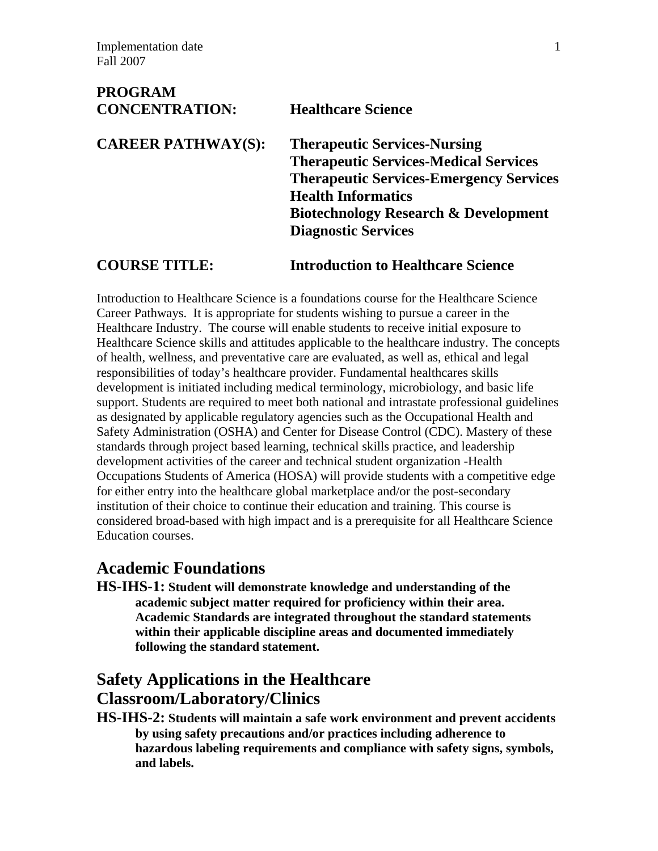**PROGRAM** 

| PROGRAM<br><b>CONCENTRATION:</b> | <b>Healthcare Science</b>                       |
|----------------------------------|-------------------------------------------------|
| <b>CAREER PATHWAY(S):</b>        | <b>Therapeutic Services-Nursing</b>             |
|                                  | <b>Therapeutic Services-Medical Services</b>    |
|                                  | <b>Therapeutic Services-Emergency Services</b>  |
|                                  | <b>Health Informatics</b>                       |
|                                  | <b>Biotechnology Research &amp; Development</b> |
|                                  | <b>Diagnostic Services</b>                      |
|                                  |                                                 |

**COURSE TITLE: Introduction to Healthcare Science**

Introduction to Healthcare Science is a foundations course for the Healthcare Science Career Pathways. It is appropriate for students wishing to pursue a career in the Healthcare Industry. The course will enable students to receive initial exposure to Healthcare Science skills and attitudes applicable to the healthcare industry. The concepts of health, wellness, and preventative care are evaluated, as well as, ethical and legal responsibilities of today's healthcare provider. Fundamental healthcares skills development is initiated including medical terminology, microbiology, and basic life support. Students are required to meet both national and intrastate professional guidelines as designated by applicable regulatory agencies such as the Occupational Health and Safety Administration (OSHA) and Center for Disease Control (CDC). Mastery of these standards through project based learning, technical skills practice, and leadership development activities of the career and technical student organization -Health Occupations Students of America (HOSA) will provide students with a competitive edge for either entry into the healthcare global marketplace and/or the post-secondary institution of their choice to continue their education and training. This course is considered broad-based with high impact and is a prerequisite for all Healthcare Science Education courses.

## **Academic Foundations**

**HS-IHS-1: Student will demonstrate knowledge and understanding of the academic subject matter required for proficiency within their area. Academic Standards are integrated throughout the standard statements within their applicable discipline areas and documented immediately following the standard statement.** 

# **Safety Applications in the Healthcare Classroom/Laboratory/Clinics**

**HS-IHS-2: Students will maintain a safe work environment and prevent accidents by using safety precautions and/or practices including adherence to hazardous labeling requirements and compliance with safety signs, symbols, and labels.**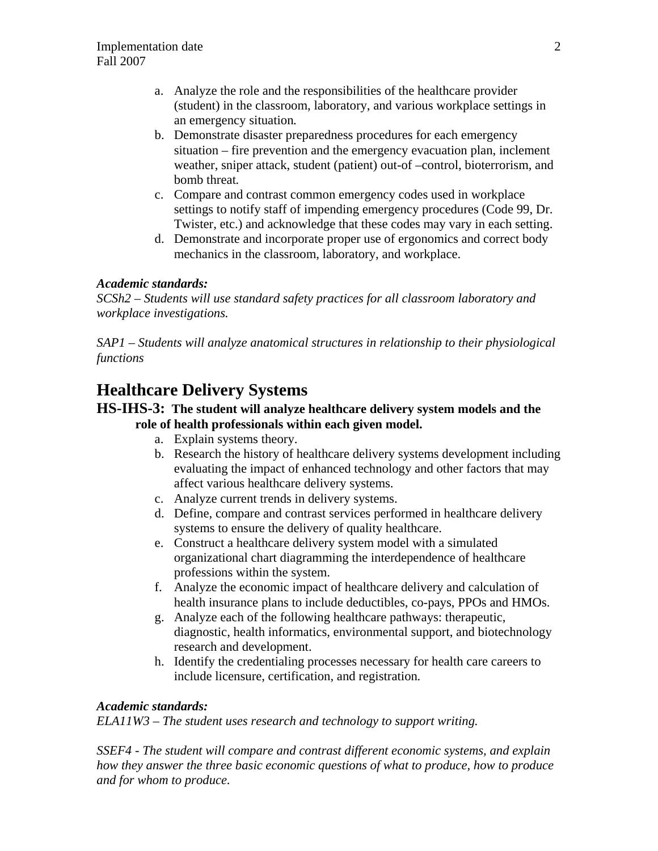- a. Analyze the role and the responsibilities of the healthcare provider (student) in the classroom, laboratory, and various workplace settings in an emergency situation*.*
- b. Demonstrate disaster preparedness procedures for each emergency situation – fire prevention and the emergency evacuation plan, inclement weather, sniper attack, student (patient) out-of –control, bioterrorism, and bomb threat*.*
- c. Compare and contrast common emergency codes used in workplace settings to notify staff of impending emergency procedures (Code 99, Dr. Twister, etc.) and acknowledge that these codes may vary in each setting.
- d. Demonstrate and incorporate proper use of ergonomics and correct body mechanics in the classroom, laboratory, and workplace.

#### *Academic standards:*

*SCSh2 – Students will use standard safety practices for all classroom laboratory and workplace investigations.* 

*SAP1 – Students will analyze anatomical structures in relationship to their physiological functions* 

# **Healthcare Delivery Systems**

## **HS-IHS-3: The student will analyze healthcare delivery system models and the role of health professionals within each given model.**

- a. Explain systems theory.
- b. Research the history of healthcare delivery systems development including evaluating the impact of enhanced technology and other factors that may affect various healthcare delivery systems.
- c. Analyze current trends in delivery systems.
- d. Define, compare and contrast services performed in healthcare delivery systems to ensure the delivery of quality healthcare.
- e. Construct a healthcare delivery system model with a simulated organizational chart diagramming the interdependence of healthcare professions within the system.
- f. Analyze the economic impact of healthcare delivery and calculation of health insurance plans to include deductibles, co-pays, PPOs and HMOs.
- g. Analyze each of the following healthcare pathways: therapeutic, diagnostic, health informatics, environmental support, and biotechnology research and development.
- h. Identify the credentialing processes necessary for health care careers to include licensure, certification, and registration*.*

#### *Academic standards:*

*ELA11W3 – The student uses research and technology to support writing.* 

*SSEF4 - The student will compare and contrast different economic systems, and explain how they answer the three basic economic questions of what to produce, how to produce and for whom to produce.*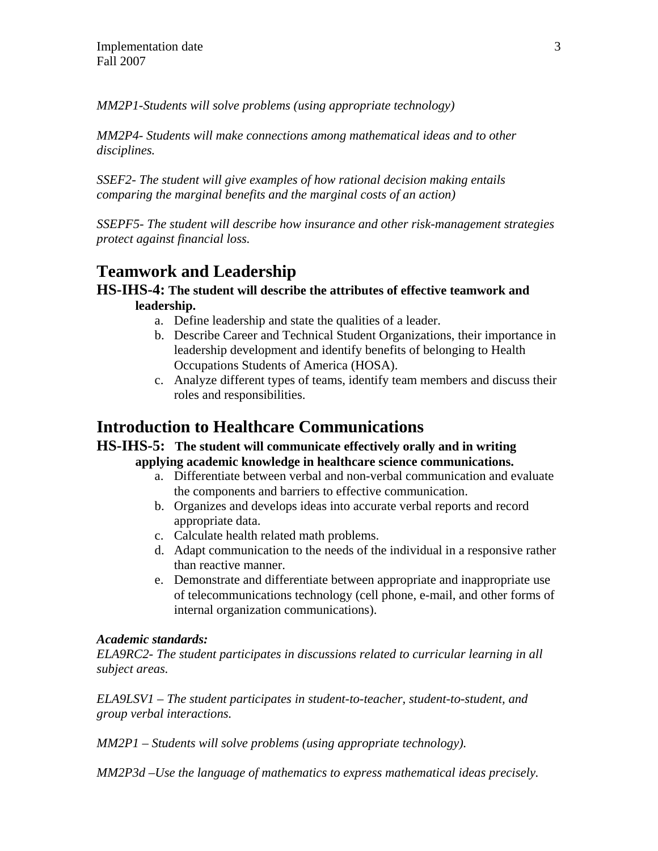*MM2P1-Students will solve problems (using appropriate technology)* 

*MM2P4- Students will make connections among mathematical ideas and to other disciplines.* 

*SSEF2- The student will give examples of how rational decision making entails comparing the marginal benefits and the marginal costs of an action)* 

*SSEPF5- The student will describe how insurance and other risk-management strategies protect against financial loss.* 

## **Teamwork and Leadership**

## **HS-IHS-4: The student will describe the attributes of effective teamwork and leadership.**

- a. Define leadership and state the qualities of a leader.
- b. Describe Career and Technical Student Organizations, their importance in leadership development and identify benefits of belonging to Health Occupations Students of America (HOSA).
- c. Analyze different types of teams, identify team members and discuss their roles and responsibilities.

## **Introduction to Healthcare Communications**

## **HS-IHS-5: The student will communicate effectively orally and in writing applying academic knowledge in healthcare science communications.**

- a. Differentiate between verbal and non-verbal communication and evaluate the components and barriers to effective communication.
- b. Organizes and develops ideas into accurate verbal reports and record appropriate data.
- c. Calculate health related math problems.
- d. Adapt communication to the needs of the individual in a responsive rather than reactive manner.
- e. Demonstrate and differentiate between appropriate and inappropriate use of telecommunications technology (cell phone, e-mail, and other forms of internal organization communications).

#### *Academic standards:*

*ELA9RC2- The student participates in discussions related to curricular learning in all subject areas.* 

*ELA9LSV1 – The student participates in student-to-teacher, student-to-student, and group verbal interactions.* 

*MM2P1 – Students will solve problems (using appropriate technology).* 

*MM2P3d –Use the language of mathematics to express mathematical ideas precisely.*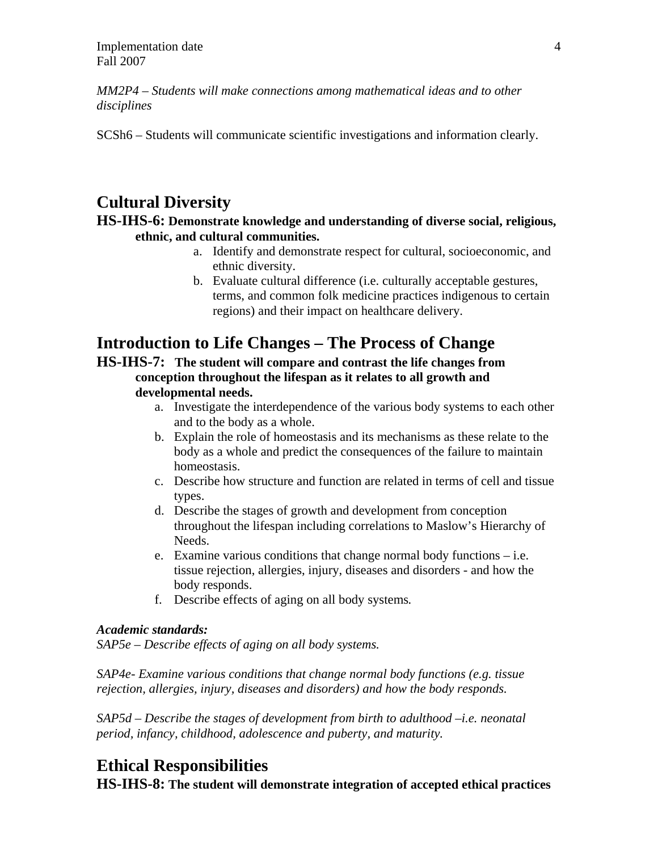*MM2P4 – Students will make connections among mathematical ideas and to other disciplines* 

SCSh6 – Students will communicate scientific investigations and information clearly.

## **Cultural Diversity**

## **HS-IHS-6: Demonstrate knowledge and understanding of diverse social, religious, ethnic, and cultural communities.**

- a. Identify and demonstrate respect for cultural, socioeconomic, and ethnic diversity.
- b. Evaluate cultural difference (i.e. culturally acceptable gestures, terms, and common folk medicine practices indigenous to certain regions) and their impact on healthcare delivery.

# **Introduction to Life Changes – The Process of Change**

**HS-IHS-7: The student will compare and contrast the life changes from conception throughout the lifespan as it relates to all growth and developmental needs.** 

- a. Investigate the interdependence of the various body systems to each other and to the body as a whole.
- b. Explain the role of homeostasis and its mechanisms as these relate to the body as a whole and predict the consequences of the failure to maintain homeostasis.
- c. Describe how structure and function are related in terms of cell and tissue types.
- d. Describe the stages of growth and development from conception throughout the lifespan including correlations to Maslow's Hierarchy of Needs.
- e. Examine various conditions that change normal body functions i.e. tissue rejection, allergies, injury, diseases and disorders - and how the body responds.
- f. Describe effects of aging on all body systems*.*

#### *Academic standards:*

*SAP5e – Describe effects of aging on all body systems.* 

*SAP4e- Examine various conditions that change normal body functions (e.g. tissue rejection, allergies, injury, diseases and disorders) and how the body responds.* 

*SAP5d – Describe the stages of development from birth to adulthood –i.e. neonatal period, infancy, childhood, adolescence and puberty, and maturity.* 

## **Ethical Responsibilities**

**HS-IHS-8: The student will demonstrate integration of accepted ethical practices**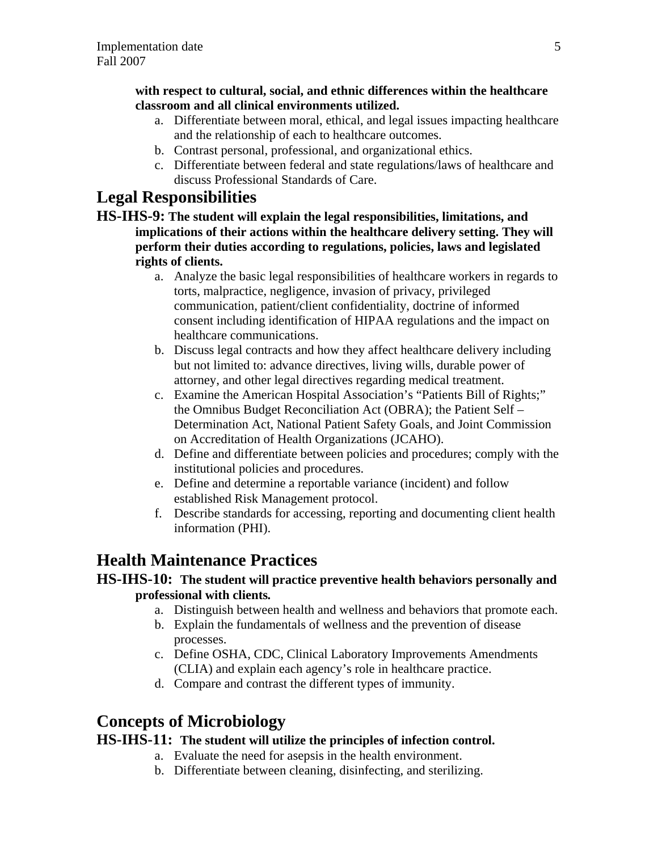## **with respect to cultural, social, and ethnic differences within the healthcare classroom and all clinical environments utilized.**

- a. Differentiate between moral, ethical, and legal issues impacting healthcare and the relationship of each to healthcare outcomes.
- b. Contrast personal, professional, and organizational ethics.
- c. Differentiate between federal and state regulations/laws of healthcare and discuss Professional Standards of Care.

# **Legal Responsibilities**

- **HS-IHS-9: The student will explain the legal responsibilities, limitations, and implications of their actions within the healthcare delivery setting. They will perform their duties according to regulations, policies, laws and legislated rights of clients.** 
	- a. Analyze the basic legal responsibilities of healthcare workers in regards to torts, malpractice, negligence, invasion of privacy, privileged communication, patient/client confidentiality, doctrine of informed consent including identification of HIPAA regulations and the impact on healthcare communications.
	- b. Discuss legal contracts and how they affect healthcare delivery including but not limited to: advance directives, living wills, durable power of attorney, and other legal directives regarding medical treatment.
	- c. Examine the American Hospital Association's "Patients Bill of Rights;" the Omnibus Budget Reconciliation Act (OBRA); the Patient Self – Determination Act, National Patient Safety Goals, and Joint Commission on Accreditation of Health Organizations (JCAHO).
	- d. Define and differentiate between policies and procedures; comply with the institutional policies and procedures.
	- e. Define and determine a reportable variance (incident) and follow established Risk Management protocol.
	- f. Describe standards for accessing, reporting and documenting client health information (PHI).

# **Health Maintenance Practices**

## **HS-IHS-10: The student will practice preventive health behaviors personally and professional with clients***.*

- a. Distinguish between health and wellness and behaviors that promote each.
- b. Explain the fundamentals of wellness and the prevention of disease processes.
- c. Define OSHA, CDC, Clinical Laboratory Improvements Amendments (CLIA) and explain each agency's role in healthcare practice.
- d. Compare and contrast the different types of immunity.

# **Concepts of Microbiology**

## **HS-IHS-11: The student will utilize the principles of infection control.**

- a. Evaluate the need for asepsis in the health environment.
- b. Differentiate between cleaning, disinfecting, and sterilizing.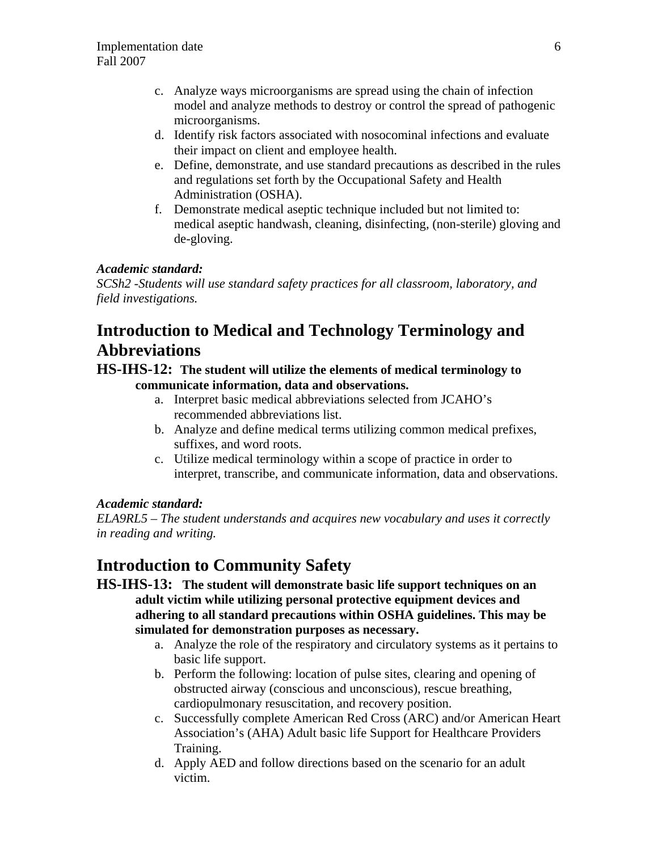- c. Analyze ways microorganisms are spread using the chain of infection model and analyze methods to destroy or control the spread of pathogenic microorganisms.
- d. Identify risk factors associated with nosocominal infections and evaluate their impact on client and employee health.
- e. Define, demonstrate, and use standard precautions as described in the rules and regulations set forth by the Occupational Safety and Health Administration (OSHA).
- f. Demonstrate medical aseptic technique included but not limited to: medical aseptic handwash, cleaning, disinfecting, (non-sterile) gloving and de-gloving.

## *Academic standard:*

*SCSh2 -Students will use standard safety practices for all classroom, laboratory, and field investigations.*

# **Introduction to Medical and Technology Terminology and Abbreviations**

## **HS-IHS-12: The student will utilize the elements of medical terminology to communicate information, data and observations.**

- a. Interpret basic medical abbreviations selected from JCAHO's recommended abbreviations list.
- b. Analyze and define medical terms utilizing common medical prefixes, suffixes, and word roots.
- c. Utilize medical terminology within a scope of practice in order to interpret, transcribe, and communicate information, data and observations.

#### *Academic standard:*

*ELA9RL5 – The student understands and acquires new vocabulary and uses it correctly in reading and writing.* 

## **Introduction to Community Safety**

## **HS-IHS-13: The student will demonstrate basic life support techniques on an adult victim while utilizing personal protective equipment devices and adhering to all standard precautions within OSHA guidelines. This may be simulated for demonstration purposes as necessary.**

- a. Analyze the role of the respiratory and circulatory systems as it pertains to basic life support.
- b. Perform the following: location of pulse sites, clearing and opening of obstructed airway (conscious and unconscious), rescue breathing, cardiopulmonary resuscitation, and recovery position.
- c. Successfully complete American Red Cross (ARC) and/or American Heart Association's (AHA) Adult basic life Support for Healthcare Providers Training.
- d. Apply AED and follow directions based on the scenario for an adult victim.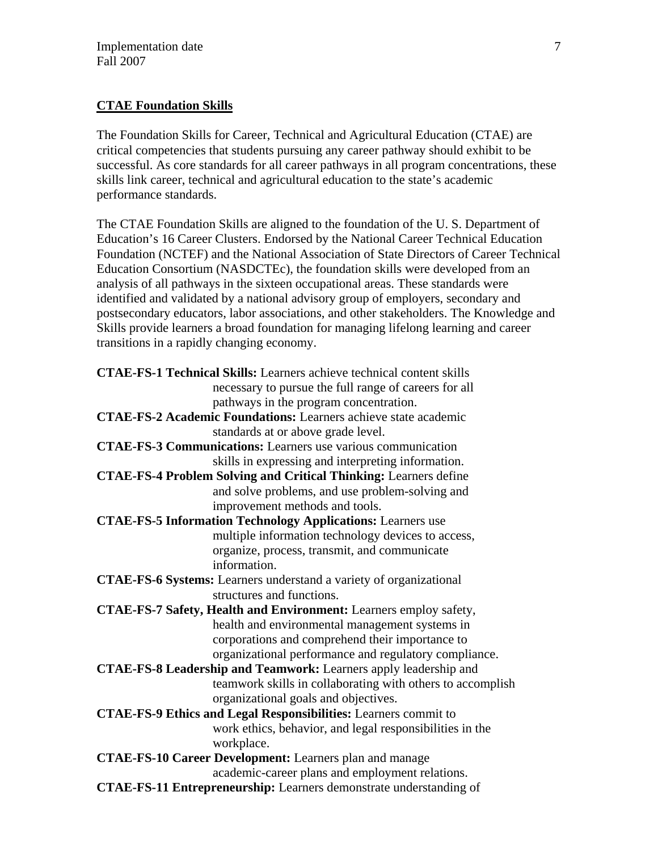## **CTAE Foundation Skills**

The Foundation Skills for Career, Technical and Agricultural Education (CTAE) are critical competencies that students pursuing any career pathway should exhibit to be successful. As core standards for all career pathways in all program concentrations, these skills link career, technical and agricultural education to the state's academic performance standards.

The CTAE Foundation Skills are aligned to the foundation of the U. S. Department of Education's 16 Career Clusters. Endorsed by the National Career Technical Education Foundation (NCTEF) and the National Association of State Directors of Career Technical Education Consortium (NASDCTEc), the foundation skills were developed from an analysis of all pathways in the sixteen occupational areas. These standards were identified and validated by a national advisory group of employers, secondary and postsecondary educators, labor associations, and other stakeholders. The Knowledge and Skills provide learners a broad foundation for managing lifelong learning and career transitions in a rapidly changing economy.

| <b>CTAE-FS-1 Technical Skills:</b> Learners achieve technical content skills |  |
|------------------------------------------------------------------------------|--|
| necessary to pursue the full range of careers for all                        |  |
| pathways in the program concentration.                                       |  |
| <b>CTAE-FS-2 Academic Foundations:</b> Learners achieve state academic       |  |
| standards at or above grade level.                                           |  |
| <b>CTAE-FS-3 Communications:</b> Learners use various communication          |  |
| skills in expressing and interpreting information.                           |  |
| <b>CTAE-FS-4 Problem Solving and Critical Thinking: Learners define</b>      |  |
| and solve problems, and use problem-solving and                              |  |
| improvement methods and tools.                                               |  |
| <b>CTAE-FS-5 Information Technology Applications:</b> Learners use           |  |
| multiple information technology devices to access,                           |  |
| organize, process, transmit, and communicate                                 |  |
| information.                                                                 |  |
| <b>CTAE-FS-6 Systems:</b> Learners understand a variety of organizational    |  |
| structures and functions.                                                    |  |
| CTAE-FS-7 Safety, Health and Environment: Learners employ safety,            |  |
| health and environmental management systems in                               |  |
| corporations and comprehend their importance to                              |  |
| organizational performance and regulatory compliance.                        |  |
| CTAE-FS-8 Leadership and Teamwork: Learners apply leadership and             |  |
| teamwork skills in collaborating with others to accomplish                   |  |
| organizational goals and objectives.                                         |  |
| <b>CTAE-FS-9 Ethics and Legal Responsibilities:</b> Learners commit to       |  |
| work ethics, behavior, and legal responsibilities in the                     |  |
| workplace.                                                                   |  |
| <b>CTAE-FS-10 Career Development:</b> Learners plan and manage               |  |
| academic-career plans and employment relations.                              |  |
| CTAE-FS-11 Entrepreneurship: Learners demonstrate understanding of           |  |